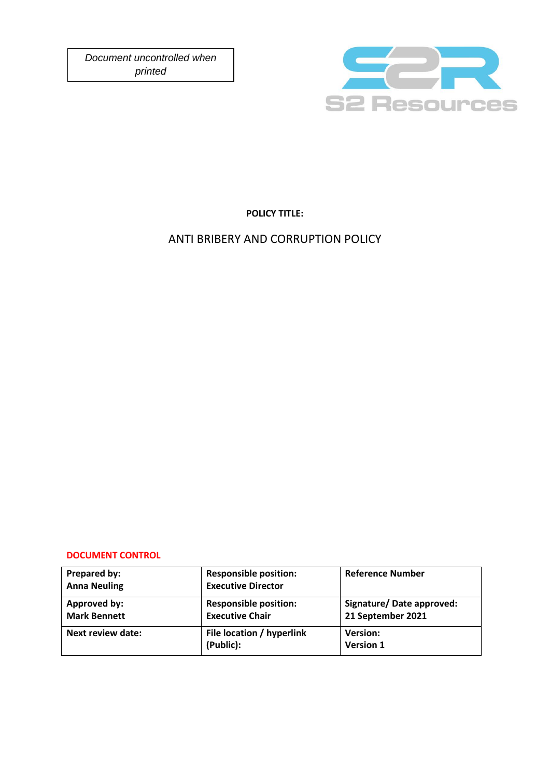*Document uncontrolled when printed*



**POLICY TITLE:**

# ANTI BRIBERY AND CORRUPTION POLICY

### **DOCUMENT CONTROL**

| Prepared by:<br><b>Anna Neuling</b> | <b>Responsible position:</b><br><b>Executive Director</b> | <b>Reference Number</b>                       |
|-------------------------------------|-----------------------------------------------------------|-----------------------------------------------|
| Approved by:<br><b>Mark Bennett</b> | <b>Responsible position:</b><br><b>Executive Chair</b>    | Signature/Date approved:<br>21 September 2021 |
| Next review date:                   | File location / hyperlink<br>(Public):                    | <b>Version:</b><br><b>Version 1</b>           |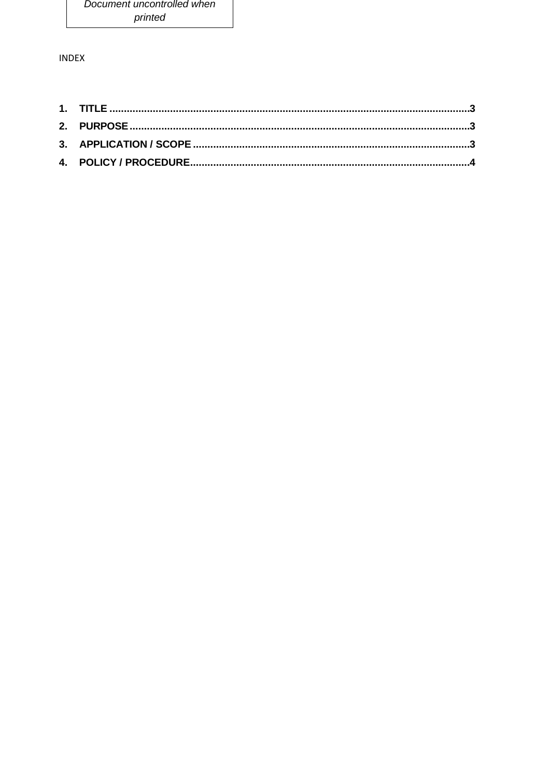**INDEX**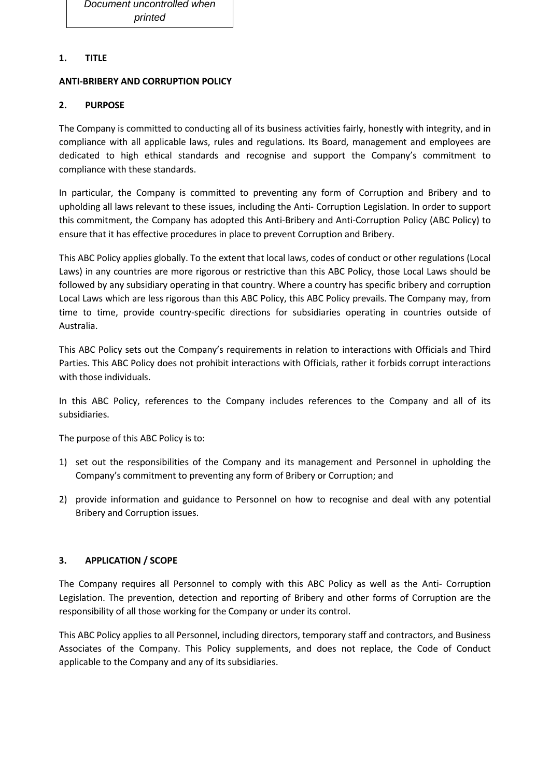### <span id="page-2-0"></span>**1. TITLE**

#### **ANTI-BRIBERY AND CORRUPTION POLICY**

### <span id="page-2-1"></span>**2. PURPOSE**

The Company is committed to conducting all of its business activities fairly, honestly with integrity, and in compliance with all applicable laws, rules and regulations. Its Board, management and employees are dedicated to high ethical standards and recognise and support the Company's commitment to compliance with these standards.

In particular, the Company is committed to preventing any form of Corruption and Bribery and to upholding all laws relevant to these issues, including the Anti- Corruption Legislation. In order to support this commitment, the Company has adopted this Anti-Bribery and Anti-Corruption Policy (ABC Policy) to ensure that it has effective procedures in place to prevent Corruption and Bribery.

This ABC Policy applies globally. To the extent that local laws, codes of conduct or other regulations (Local Laws) in any countries are more rigorous or restrictive than this ABC Policy, those Local Laws should be followed by any subsidiary operating in that country. Where a country has specific bribery and corruption Local Laws which are less rigorous than this ABC Policy, this ABC Policy prevails. The Company may, from time to time, provide country-specific directions for subsidiaries operating in countries outside of Australia.

This ABC Policy sets out the Company's requirements in relation to interactions with Officials and Third Parties. This ABC Policy does not prohibit interactions with Officials, rather it forbids corrupt interactions with those individuals.

In this ABC Policy, references to the Company includes references to the Company and all of its subsidiaries.

The purpose of this ABC Policy is to:

- 1) set out the responsibilities of the Company and its management and Personnel in upholding the Company's commitment to preventing any form of Bribery or Corruption; and
- 2) provide information and guidance to Personnel on how to recognise and deal with any potential Bribery and Corruption issues.

### <span id="page-2-2"></span>**3. APPLICATION / SCOPE**

The Company requires all Personnel to comply with this ABC Policy as well as the Anti- Corruption Legislation. The prevention, detection and reporting of Bribery and other forms of Corruption are the responsibility of all those working for the Company or under its control.

This ABC Policy applies to all Personnel, including directors, temporary staff and contractors, and Business Associates of the Company. This Policy supplements, and does not replace, the Code of Conduct applicable to the Company and any of its subsidiaries.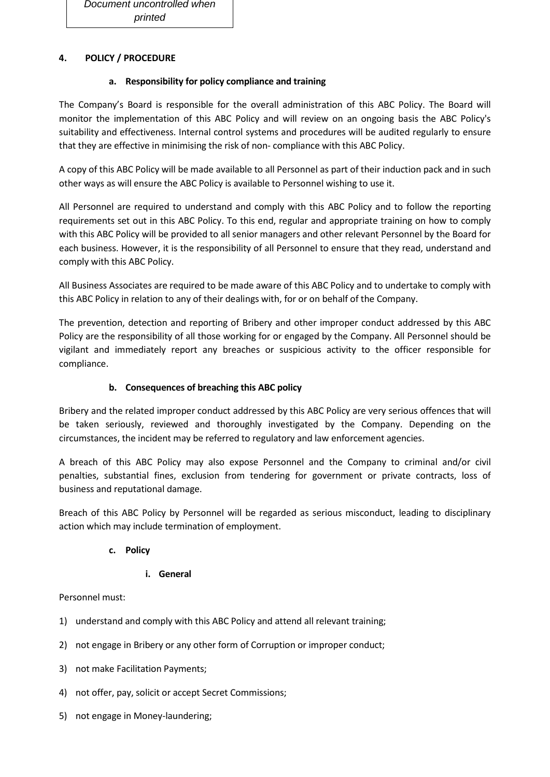## <span id="page-3-0"></span>**4. POLICY / PROCEDURE**

### **a. Responsibility for policy compliance and training**

The Company's Board is responsible for the overall administration of this ABC Policy. The Board will monitor the implementation of this ABC Policy and will review on an ongoing basis the ABC Policy's suitability and effectiveness. Internal control systems and procedures will be audited regularly to ensure that they are effective in minimising the risk of non- compliance with this ABC Policy.

A copy of this ABC Policy will be made available to all Personnel as part of their induction pack and in such other ways as will ensure the ABC Policy is available to Personnel wishing to use it.

All Personnel are required to understand and comply with this ABC Policy and to follow the reporting requirements set out in this ABC Policy. To this end, regular and appropriate training on how to comply with this ABC Policy will be provided to all senior managers and other relevant Personnel by the Board for each business. However, it is the responsibility of all Personnel to ensure that they read, understand and comply with this ABC Policy.

All Business Associates are required to be made aware of this ABC Policy and to undertake to comply with this ABC Policy in relation to any of their dealings with, for or on behalf of the Company.

The prevention, detection and reporting of Bribery and other improper conduct addressed by this ABC Policy are the responsibility of all those working for or engaged by the Company. All Personnel should be vigilant and immediately report any breaches or suspicious activity to the officer responsible for compliance.

# **b. Consequences of breaching this ABC policy**

Bribery and the related improper conduct addressed by this ABC Policy are very serious offences that will be taken seriously, reviewed and thoroughly investigated by the Company. Depending on the circumstances, the incident may be referred to regulatory and law enforcement agencies.

A breach of this ABC Policy may also expose Personnel and the Company to criminal and/or civil penalties, substantial fines, exclusion from tendering for government or private contracts, loss of business and reputational damage.

Breach of this ABC Policy by Personnel will be regarded as serious misconduct, leading to disciplinary action which may include termination of employment.

### **c. Policy**

### **i. General**

Personnel must:

- 1) understand and comply with this ABC Policy and attend all relevant training;
- 2) not engage in Bribery or any other form of Corruption or improper conduct;
- 3) not make Facilitation Payments;
- 4) not offer, pay, solicit or accept Secret Commissions;
- 5) not engage in Money-laundering;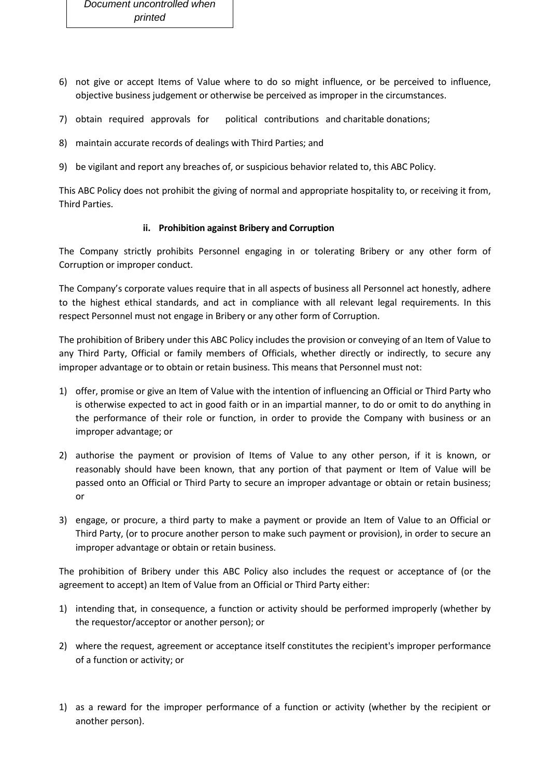- 6) not give or accept Items of Value where to do so might influence, or be perceived to influence, objective business judgement or otherwise be perceived as improper in the circumstances.
- 7) obtain required approvals for political contributions and charitable donations;
- 8) maintain accurate records of dealings with Third Parties; and
- 9) be vigilant and report any breaches of, or suspicious behavior related to, this ABC Policy.

This ABC Policy does not prohibit the giving of normal and appropriate hospitality to, or receiving it from, Third Parties.

#### **ii. Prohibition against Bribery and Corruption**

The Company strictly prohibits Personnel engaging in or tolerating Bribery or any other form of Corruption or improper conduct.

The Company's corporate values require that in all aspects of business all Personnel act honestly, adhere to the highest ethical standards, and act in compliance with all relevant legal requirements. In this respect Personnel must not engage in Bribery or any other form of Corruption.

The prohibition of Bribery under this ABC Policy includes the provision or conveying of an Item of Value to any Third Party, Official or family members of Officials, whether directly or indirectly, to secure any improper advantage or to obtain or retain business. This means that Personnel must not:

- 1) offer, promise or give an Item of Value with the intention of influencing an Official or Third Party who is otherwise expected to act in good faith or in an impartial manner, to do or omit to do anything in the performance of their role or function, in order to provide the Company with business or an improper advantage; or
- 2) authorise the payment or provision of Items of Value to any other person, if it is known, or reasonably should have been known, that any portion of that payment or Item of Value will be passed onto an Official or Third Party to secure an improper advantage or obtain or retain business; or
- 3) engage, or procure, a third party to make a payment or provide an Item of Value to an Official or Third Party, (or to procure another person to make such payment or provision), in order to secure an improper advantage or obtain or retain business.

The prohibition of Bribery under this ABC Policy also includes the request or acceptance of (or the agreement to accept) an Item of Value from an Official or Third Party either:

- 1) intending that, in consequence, a function or activity should be performed improperly (whether by the requestor/acceptor or another person); or
- 2) where the request, agreement or acceptance itself constitutes the recipient's improper performance of a function or activity; or
- 1) as a reward for the improper performance of a function or activity (whether by the recipient or another person).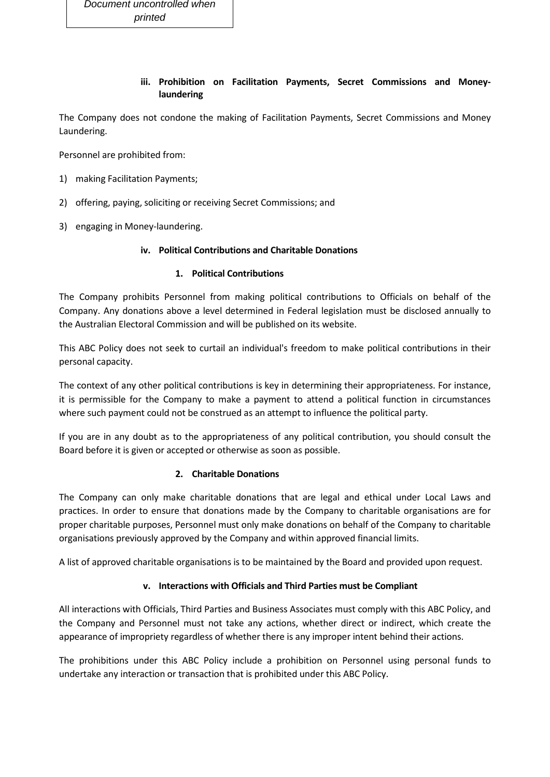### **iii. Prohibition on Facilitation Payments, Secret Commissions and Moneylaundering**

The Company does not condone the making of Facilitation Payments, Secret Commissions and Money Laundering.

Personnel are prohibited from:

- 1) making Facilitation Payments;
- 2) offering, paying, soliciting or receiving Secret Commissions; and
- 3) engaging in Money-laundering.

#### **iv. Political Contributions and Charitable Donations**

#### **1. Political Contributions**

The Company prohibits Personnel from making political contributions to Officials on behalf of the Company. Any donations above a level determined in Federal legislation must be disclosed annually to the Australian Electoral Commission and will be published on its website.

This ABC Policy does not seek to curtail an individual's freedom to make political contributions in their personal capacity.

The context of any other political contributions is key in determining their appropriateness. For instance, it is permissible for the Company to make a payment to attend a political function in circumstances where such payment could not be construed as an attempt to influence the political party.

If you are in any doubt as to the appropriateness of any political contribution, you should consult the Board before it is given or accepted or otherwise as soon as possible.

### **2. Charitable Donations**

The Company can only make charitable donations that are legal and ethical under Local Laws and practices. In order to ensure that donations made by the Company to charitable organisations are for proper charitable purposes, Personnel must only make donations on behalf of the Company to charitable organisations previously approved by the Company and within approved financial limits.

A list of approved charitable organisations is to be maintained by the Board and provided upon request.

### **v. Interactions with Officials and Third Parties must be Compliant**

All interactions with Officials, Third Parties and Business Associates must comply with this ABC Policy, and the Company and Personnel must not take any actions, whether direct or indirect, which create the appearance of impropriety regardless of whether there is any improper intent behind their actions.

The prohibitions under this ABC Policy include a prohibition on Personnel using personal funds to undertake any interaction or transaction that is prohibited under this ABC Policy.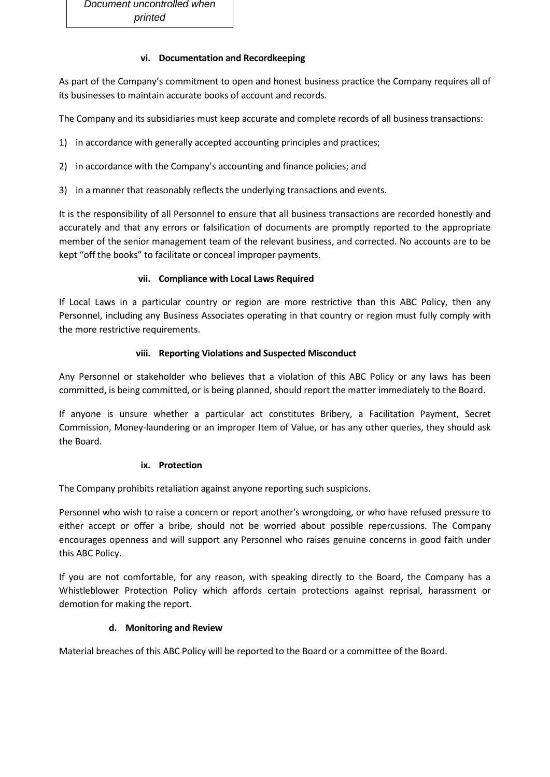#### **vi. Documentation and Recordkeeping**

As part of the Company's commitment to open and honest business practice the Company requires all of its businesses to maintain accurate books of account and records.

The Company and its subsidiaries must keep accurate and complete records of all business transactions:

- 1) in accordance with generally accepted accounting principles and practices;
- 2) in accordance with the Company's accounting and finance policies; and
- 3) in a manner that reasonably reflects the underlying transactions and events.

It is the responsibility of all Personnel to ensure that all business transactions are recorded honestly and accurately and that any errors or falsification of documents are promptly reported to the appropriate member of the senior management team of the relevant business, and corrected. No accounts are to be kept "off the books" to facilitate or conceal improper payments.

#### **vii. Compliance with Local Laws Required**

If Local Laws in a particular country or region are more restrictive than this ABC Policy, then any Personnel, including any Business Associates operating in that country or region must fully comply with the more restrictive requirements.

#### **viii. Reporting Violations and Suspected Misconduct**

Any Personnel or stakeholder who believes that a violation of this ABC Policy or any laws has been committed, is being committed, or is being planned, should report the matter immediately to the Board.

If anyone is unsure whether a particular act constitutes Bribery, a Facilitation Payment, Secret Commission, Money-laundering or an improper Item of Value, or has any other queries, they should ask the Board.

#### **ix. Protection**

The Company prohibits retaliation against anyone reporting such suspicions.

Personnel who wish to raise a concern or report another's wrongdoing, or who have refused pressure to either accept or offer a bribe, should not be worried about possible repercussions. The Company encourages openness and will support any Personnel who raises genuine concerns in good faith under this ABC Policy.

If you are not comfortable, for any reason, with speaking directly to the Board, the Company has a Whistleblower Protection Policy which affords certain protections against reprisal, harassment or demotion for making the report.

### **d. Monitoring and Review**

Material breaches of this ABC Policy will be reported to the Board or a committee of the Board.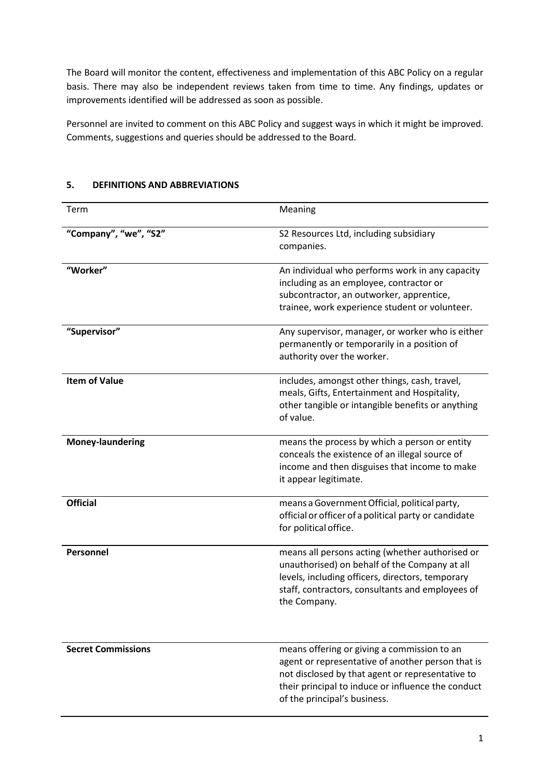The Board will monitor the content, effectiveness and implementation of this ABC Policy on a regular basis. There may also be independent reviews taken from time to time. Any findings, updates or improvements identified will be addressed as soon as possible.

Personnel are invited to comment on this ABC Policy and suggest ways in which it might be improved. Comments, suggestions and queries should be addressed to the Board.

| Term                      | Meaning                                                                                                                                                                                                                                    |
|---------------------------|--------------------------------------------------------------------------------------------------------------------------------------------------------------------------------------------------------------------------------------------|
| "Company", "we", "S2"     | S2 Resources Ltd, including subsidiary<br>companies.                                                                                                                                                                                       |
| "Worker"                  | An individual who performs work in any capacity<br>including as an employee, contractor or<br>subcontractor, an outworker, apprentice,<br>trainee, work experience student or volunteer.                                                   |
| "Supervisor"              | Any supervisor, manager, or worker who is either<br>permanently or temporarily in a position of<br>authority over the worker.                                                                                                              |
| <b>Item of Value</b>      | includes, amongst other things, cash, travel,<br>meals, Gifts, Entertainment and Hospitality,<br>other tangible or intangible benefits or anything<br>of value.                                                                            |
| <b>Money-laundering</b>   | means the process by which a person or entity<br>conceals the existence of an illegal source of<br>income and then disguises that income to make<br>it appear legitimate.                                                                  |
| <b>Official</b>           | means a Government Official, political party,<br>official or officer of a political party or candidate<br>for political office.                                                                                                            |
| Personnel                 | means all persons acting (whether authorised or<br>unauthorised) on behalf of the Company at all<br>levels, including officers, directors, temporary<br>staff, contractors, consultants and employees of<br>the Company.                   |
| <b>Secret Commissions</b> | means offering or giving a commission to an<br>agent or representative of another person that is<br>not disclosed by that agent or representative to<br>their principal to induce or influence the conduct<br>of the principal's business. |

#### **5. DEFINITIONS AND ABBREVIATIONS**